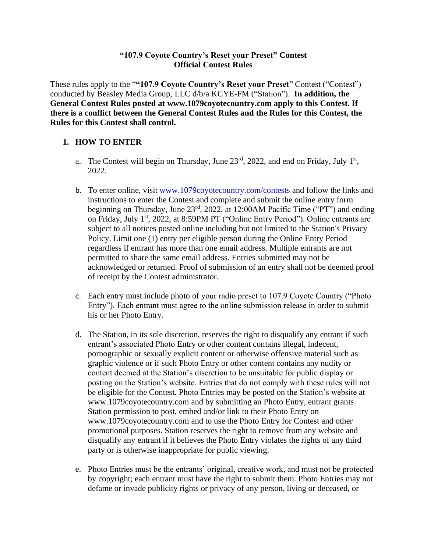### **"107.9 Coyote Country's Reset your Preset" Contest Official Contest Rules**

These rules apply to the "**"107.9 Coyote Country's Reset your Preset**" Contest ("Contest") conducted by Beasley Media Group, LLC d/b/a KCYE-FM ("Station"). **In addition, the General Contest Rules posted at www.1079coyotecountry.com apply to this Contest. If there is a conflict between the General Contest Rules and the Rules for this Contest, the Rules for this Contest shall control.**

# **1. HOW TO ENTER**

- a. The Contest will begin on Thursday, June  $23^{rd}$ , 2022, and end on Friday, July  $1^{st}$ , 2022.
- b. To enter online, visit [www.1079coyotecountry.com/contests](http://www.1079coyotecountry.com/contests) and follow the links and instructions to enter the Contest and complete and submit the online entry form beginning on Thursday, June 23rd, 2022, at 12:00AM Pacific Time ("PT") and ending on Friday, July 1st, 2022, at 8:59PM PT ("Online Entry Period"). Online entrants are subject to all notices posted online including but not limited to the Station's Privacy Policy. Limit one (1) entry per eligible person during the Online Entry Period regardless if entrant has more than one email address. Multiple entrants are not permitted to share the same email address. Entries submitted may not be acknowledged or returned. Proof of submission of an entry shall not be deemed proof of receipt by the Contest administrator.
- c. Each entry must include photo of your radio preset to 107.9 Coyote Country ("Photo Entry"). Each entrant must agree to the online submission release in order to submit his or her Photo Entry.
- d. The Station, in its sole discretion, reserves the right to disqualify any entrant if such entrant's associated Photo Entry or other content contains illegal, indecent, pornographic or sexually explicit content or otherwise offensive material such as graphic violence or if such Photo Entry or other content contains any nudity or content deemed at the Station's discretion to be unsuitable for public display or posting on the Station's website. Entries that do not comply with these rules will not be eligible for the Contest. Photo Entries may be posted on the Station's website at www.1079coyotecountry.com and by submitting an Photo Entry, entrant grants Station permission to post, embed and/or link to their Photo Entry on www.1079coyotecountry.com and to use the Photo Entry for Contest and other promotional purposes. Station reserves the right to remove from any website and disqualify any entrant if it believes the Photo Entry violates the rights of any third party or is otherwise inappropriate for public viewing.
- e. Photo Entries must be the entrants' original, creative work, and must not be protected by copyright; each entrant must have the right to submit them. Photo Entries may not defame or invade publicity rights or privacy of any person, living or deceased, or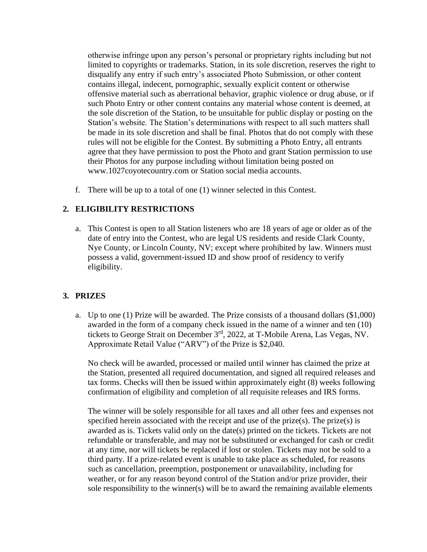otherwise infringe upon any person's personal or proprietary rights including but not limited to copyrights or trademarks. Station, in its sole discretion, reserves the right to disqualify any entry if such entry's associated Photo Submission, or other content contains illegal, indecent, pornographic, sexually explicit content or otherwise offensive material such as aberrational behavior, graphic violence or drug abuse, or if such Photo Entry or other content contains any material whose content is deemed, at the sole discretion of the Station, to be unsuitable for public display or posting on the Station's website. The Station's determinations with respect to all such matters shall be made in its sole discretion and shall be final. Photos that do not comply with these rules will not be eligible for the Contest. By submitting a Photo Entry, all entrants agree that they have permission to post the Photo and grant Station permission to use their Photos for any purpose including without limitation being posted on www.1027coyotecountry.com or Station social media accounts.

f. There will be up to a total of one (1) winner selected in this Contest.

# **2. ELIGIBILITY RESTRICTIONS**

a. This Contest is open to all Station listeners who are 18 years of age or older as of the date of entry into the Contest, who are legal US residents and reside Clark County, Nye County, or Lincoln County, NV; except where prohibited by law. Winners must possess a valid, government-issued ID and show proof of residency to verify eligibility.

# **3. PRIZES**

a. Up to one (1) Prize will be awarded. The Prize consists of a thousand dollars (\$1,000) awarded in the form of a company check issued in the name of a winner and ten (10) tickets to George Strait on December 3rd, 2022, at T-Mobile Arena, Las Vegas, NV. Approximate Retail Value ("ARV") of the Prize is \$2,040.

No check will be awarded, processed or mailed until winner has claimed the prize at the Station, presented all required documentation, and signed all required releases and tax forms. Checks will then be issued within approximately eight (8) weeks following confirmation of eligibility and completion of all requisite releases and IRS forms.

The winner will be solely responsible for all taxes and all other fees and expenses not specified herein associated with the receipt and use of the prize(s). The prize(s) is awarded as is. Tickets valid only on the date(s) printed on the tickets. Tickets are not refundable or transferable, and may not be substituted or exchanged for cash or credit at any time, nor will tickets be replaced if lost or stolen. Tickets may not be sold to a third party. If a prize-related event is unable to take place as scheduled, for reasons such as cancellation, preemption, postponement or unavailability, including for weather, or for any reason beyond control of the Station and/or prize provider, their sole responsibility to the winner(s) will be to award the remaining available elements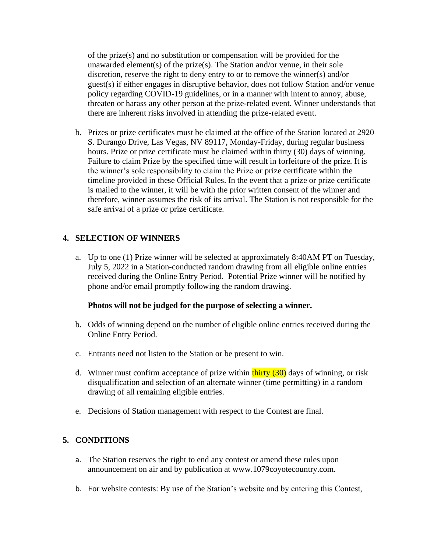of the prize(s) and no substitution or compensation will be provided for the unawarded element(s) of the prize(s). The Station and/or venue, in their sole discretion, reserve the right to deny entry to or to remove the winner(s) and/or guest(s) if either engages in disruptive behavior, does not follow Station and/or venue policy regarding COVID-19 guidelines, or in a manner with intent to annoy, abuse, threaten or harass any other person at the prize-related event. Winner understands that there are inherent risks involved in attending the prize-related event.

b. Prizes or prize certificates must be claimed at the office of the Station located at 2920 S. Durango Drive, Las Vegas, NV 89117, Monday-Friday, during regular business hours. Prize or prize certificate must be claimed within thirty (30) days of winning. Failure to claim Prize by the specified time will result in forfeiture of the prize. It is the winner's sole responsibility to claim the Prize or prize certificate within the timeline provided in these Official Rules. In the event that a prize or prize certificate is mailed to the winner, it will be with the prior written consent of the winner and therefore, winner assumes the risk of its arrival. The Station is not responsible for the safe arrival of a prize or prize certificate.

# **4. SELECTION OF WINNERS**

a. Up to one (1) Prize winner will be selected at approximately 8:40AM PT on Tuesday, July 5, 2022 in a Station-conducted random drawing from all eligible online entries received during the Online Entry Period. Potential Prize winner will be notified by phone and/or email promptly following the random drawing.

# **Photos will not be judged for the purpose of selecting a winner.**

- b. Odds of winning depend on the number of eligible online entries received during the Online Entry Period.
- c. Entrants need not listen to the Station or be present to win.
- d. Winner must confirm acceptance of prize within  $\frac{\text{thirty}}{20}$  days of winning, or risk disqualification and selection of an alternate winner (time permitting) in a random drawing of all remaining eligible entries.
- e. Decisions of Station management with respect to the Contest are final.

# **5. CONDITIONS**

- a. The Station reserves the right to end any contest or amend these rules upon announcement on air and by publication at www.1079coyotecountry.com.
- b. For website contests: By use of the Station's website and by entering this Contest,